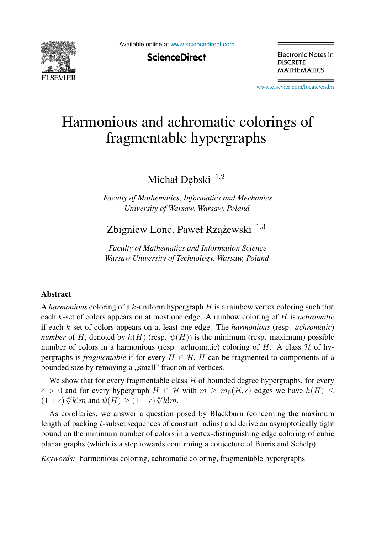

Available online at [www.sciencedirect.com](http://www.sciencedirect.com)

**ScienceDirect** 

Electronic Notes in **DISCRETE MATHEMATICS** 

[www.elsevier.com/locate/endm](http://www.elsevier.com/locate/endm)

# Harmonious and achromatic colorings of fragmentable hypergraphs

Michał Dębski<sup>1,2</sup>

*Faculty of Mathematics, Informatics and Mechanics University of Warsaw, Warsaw, Poland*

Zbigniew Lonc, Paweł Rzążewski  $1,3$ 

*Faculty of Mathematics and Information Science Warsaw University of Technology, Warsaw, Poland*

#### Abstract

A *harmonious* coloring of a k-uniform hypergraph H is a rainbow vertex coloring such that each k-set of colors appears on at most one edge. A rainbow coloring of H is *achromatic* if each k-set of colors appears on at least one edge. The *harmonious* (resp. *achromatic*) *number* of H, denoted by  $h(H)$  (resp.  $\psi(H)$ ) is the minimum (resp. maximum) possible number of colors in a harmonious (resp. achromatic) coloring of H. A class  $H$  of hypergraphs is *fragmentable* if for every  $H \in \mathcal{H}$ , H can be fragmented to components of a bounded size by removing a "small" fraction of vertices.

We show that for every fragmentable class  $H$  of bounded degree hypergraphs, for every  $\epsilon > 0$  and for every hypergraph  $H \in \mathcal{H}$  with  $m \geq m_0(\mathcal{H}, \epsilon)$  edges we have  $h(H) \leq$  $(1+\epsilon)\sqrt[k]{k!m}$  and  $\psi(H) \geq (1-\epsilon)\sqrt[k]{k!m}$ .

As corollaries, we answer a question posed by Blackburn (concerning the maximum length of packing t-subset sequences of constant radius) and derive an asymptotically tight bound on the minimum number of colors in a vertex-distinguishing edge coloring of cubic planar graphs (which is a step towards confirming a conjecture of Burris and Schelp).

*Keywords:* harmonious coloring, achromatic coloring, fragmentable hypergraphs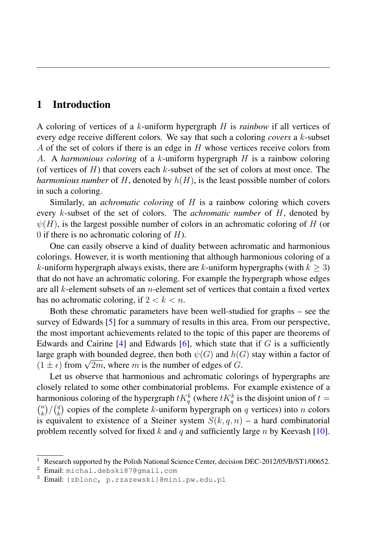## 1 Introduction

A coloring of vertices of a k-uniform hypergraph H is *rainbow* if all vertices of every edge receive different colors. We say that such a coloring *covers* a k-subset A of the set of colors if there is an edge in H whose vertices receive colors from A. A *harmonious coloring* of a k-uniform hypergraph H is a rainbow coloring (of vertices of  $H$ ) that covers each k-subset of the set of colors at most once. The *harmonious number* of H, denoted by  $h(H)$ , is the least possible number of colors in such a coloring.

Similarly, an *achromatic coloring* of H is a rainbow coloring which covers every k-subset of the set of colors. The *achromatic number* of H, denoted by  $\psi(H)$ , is the largest possible number of colors in an achromatic coloring of H (or 0 if there is no achromatic coloring of  $H$ ).

One can easily observe a kind of duality between achromatic and harmonious colorings. However, it is worth mentioning that although harmonious coloring of a k-uniform hypergraph always exists, there are k-uniform hypergraphs (with  $k > 3$ ) that do not have an achromatic coloring. For example the hypergraph whose edges are all  $k$ -element subsets of an *n*-element set of vertices that contain a fixed vertex has no achromatic coloring, if  $2 < k < n$ .

Both these chromatic parameters have been well-studied for graphs – see the survey of Edwards [5] for a summary of results in this area. From our perspective, the most important achievements related to the topic of this paper are theorems of Edwards and Cairine  $[4]$  and Edwards  $[6]$ , which state that if G is a sufficiently large graph with bounded degree, then both  $\psi(G)$  and  $h(G)$  stay within a factor of  $(1 \pm \epsilon)$  from  $\sqrt{2m}$ , where m is the number of edges of G.

Let us observe that harmonious and achromatic colorings of hypergraphs are closely related to some other combinatorial problems. For example existence of a harmonious coloring of the hypergraph  $tK_q^k$  (where  $tK_q^k$  is the disjoint union of  $t =$  $\binom{n}{k}$  $\binom{n}{k}$ / $\binom{q}{k}$  $\binom{q}{k}$  copies of the complete k-uniform hypergraph on q vertices) into n colors is equivalent to existence of a Steiner system  $S(k, q, n)$  – a hard combinatorial problem recently solved for fixed k and q and sufficiently large n by Keevash [10].

<sup>&</sup>lt;sup>1</sup> Research supported by the Polish National Science Center, decision DEC-2012/05/B/ST1/00652.

<sup>2</sup> Email: michal.debski87@gmail.com

<sup>3</sup> Email: {zblonc, p.rzazewski}@mini.pw.edu.pl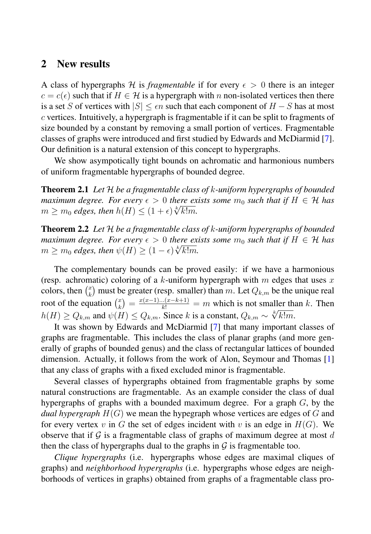## 2 New results

A class of hypergraphs H is *fragmentable* if for every  $\epsilon > 0$  there is an integer  $c = c(\epsilon)$  such that if  $H \in \mathcal{H}$  is a hypergraph with n non-isolated vertices then there is a set S of vertices with  $|S| \leq \epsilon n$  such that each component of  $H - S$  has at most c vertices. Intuitively, a hypergraph is fragmentable if it can be split to fragments of size bounded by a constant by removing a small portion of vertices. Fragmentable classes of graphs were introduced and first studied by Edwards and McDiarmid [7]. Our definition is a natural extension of this concept to hypergraphs.

We show asympotically tight bounds on achromatic and harmonious numbers of uniform fragmentable hypergraphs of bounded degree.

Theorem 2.1 *Let* <sup>H</sup> *be a fragmentable class of* <sup>k</sup>*-uniform hypergraphs of bounded maximum degree. For every*  $\epsilon > 0$  *there exists some*  $m_0$  *such that if*  $H \in \mathcal{H}$  *has*  $m \geq m_0$  *edges, then*  $h(H) \leq (1+\epsilon)\sqrt[k]{k!m}$ .

Theorem 2.2 *Let* <sup>H</sup> *be a fragmentable class of* <sup>k</sup>*-uniform hypergraphs of bounded maximum degree. For every*  $\epsilon > 0$  *there exists some*  $m_0$  *such that if*  $H \in \mathcal{H}$  *has*  $m \geq m_0$  *edges, then*  $\psi(H) \geq (1 - \epsilon) \sqrt[k]{k!m}$ .

The complementary bounds can be proved easily: if we have a harmonious (resp. achromatic) coloring of a k-uniform hypergraph with m edges that uses x colors, then  $\begin{pmatrix} x \\ k \end{pmatrix}$  $\mathbf{k}_{k}^{(x)}$  must be greater (resp. smaller) than m. Let  $Q_{k,m}$  be the unique real root of the equation  $\binom{x}{k}$  $\binom{x}{k} = \frac{x(x-1)...(x-k+1)}{k!} = m$  which is not smaller than k. Then  $h(H) \geq Q_{k,m}$  and  $\psi(H) \leq Q_{k,m}$ . Since k is a constant,  $Q_{k,m} \sim \sqrt[k]{k!m}$ .

It was shown by Edwards and McDiarmid [7] that many important classes of graphs are fragmentable. This includes the class of planar graphs (and more generally of graphs of bounded genus) and the class of rectangular lattices of bounded dimension. Actually, it follows from the work of Alon, Seymour and Thomas [1] that any class of graphs with a fixed excluded minor is fragmentable.

Several classes of hypergraphs obtained from fragmentable graphs by some natural constructions are fragmentable. As an example consider the class of dual hypergraphs of graphs with a bounded maximum degree. For a graph  $G$ , by the *dual hypergraph*  $H(G)$  we mean the hypegraph whose vertices are edges of G and for every vertex v in G the set of edges incident with v is an edge in  $H(G)$ . We observe that if  $\mathcal G$  is a fragmentable class of graphs of maximum degree at most d then the class of hypergraphs dual to the graphs in  $\mathcal G$  is fragmentable too.

*Clique hypergraphs* (i.e. hypergraphs whose edges are maximal cliques of graphs) and *neighborhood hypergraphs* (i.e. hypergraphs whose edges are neighborhoods of vertices in graphs) obtained from graphs of a fragmentable class pro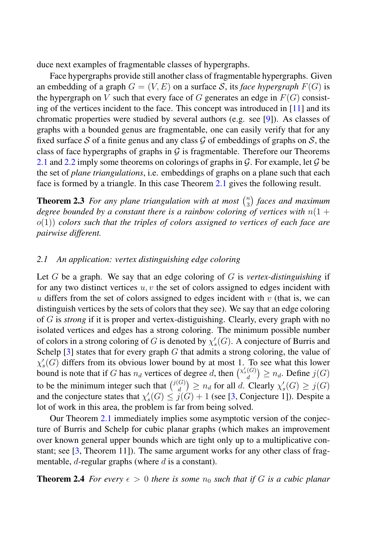duce next examples of fragmentable classes of hypergraphs.

Face hypergraphs provide still another class of fragmentable hypergraphs. Given an embedding of a graph  $G = (V, E)$  on a surface S, its *face hypergraph*  $F(G)$  is the hypergraph on V such that every face of G generates an edge in  $F(G)$  consisting of the vertices incident to the face. This concept was introduced in [11] and its chromatic properties were studied by several authors (e.g. see [9]). As classes of graphs with a bounded genus are fragmentable, one can easily verify that for any fixed surface S of a finite genus and any class G of embeddings of graphs on S, the class of face hypergraphs of graphs in  $\mathcal G$  is fragmentable. Therefore our Theorems 2.1 and 2.2 imply some theorems on colorings of graphs in  $\mathcal G$ . For example, let  $\mathcal G$  be the set of *plane triangulations*, i.e. embeddings of graphs on a plane such that each face is formed by a triangle. In this case Theorem 2.1 gives the following result.

**Theorem 2.3** For any plane triangulation with at most  $\binom{n}{3}$ 3 *faces and maximum degree bounded by a constant there is a rainbow coloring of vertices with*  $n(1 +$ o(1)) *colors such that the triples of colors assigned to vertices of each face are pairwise different.*

#### *2.1 An application: vertex distinguishing edge coloring*

Let G be a graph. We say that an edge coloring of G is *vertex-distinguishing* if for any two distinct vertices  $u, v$  the set of colors assigned to edges incident with u differs from the set of colors assigned to edges incident with  $v$  (that is, we can distinguish vertices by the sets of colors that they see). We say that an edge coloring of G is *strong* if it is proper and vertex-distiguishing. Clearly, every graph with no isolated vertices and edges has a strong coloring. The minimum possible number of colors in a strong coloring of G is denoted by  $\chi'_{s}(G)$ . A conjecture of Burris and Schelp  $[3]$  states that for every graph G that admits a strong coloring, the value of  $\chi'_{s}(G)$  differs from its obvious lower bound by at most 1. To see what this lower bound is note that if G has  $n_d$  vertices of degree d, then  $\binom{\chi_s'(G)}{d} \geq n_d$ . Define  $j(G)$ to be the minimum integer such that  $\binom{j(G)}{d} \ge n_d$  for all d. Clearly  $\chi'_{s}(G) \ge j(G)$ and the conjecture states that  $\chi'_{s}(G) \leq j(G) + 1$  (see [3, Conjecture 1]). Despite a lot of work in this area, the problem is far from being solved.

Our Theorem 2.1 immediately implies some asymptotic version of the conjecture of Burris and Schelp for cubic planar graphs (which makes an improvement over known general upper bounds which are tight only up to a multiplicative constant; see  $[3,$  Theorem 11]). The same argument works for any other class of fragmentable,  $d$ -regular graphs (where  $d$  is a constant).

**Theorem 2.4** *For every*  $\epsilon > 0$  *there is some*  $n_0$  *such that if* G *is a cubic planar*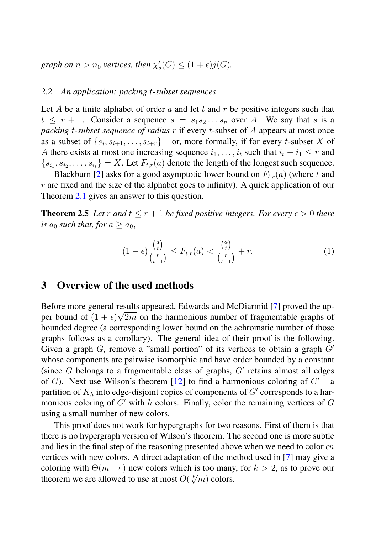graph on  $n > n_0$  vertices, then  $\chi'_s(G) \leq (1+\epsilon)j(G)$ .

#### *2.2 An application: packing* t*-subset sequences*

Let A be a finite alphabet of order a and let t and r be positive integers such that  $t \leq r + 1$ . Consider a sequence  $s = s_1 s_2 \dots s_n$  over A. We say that s is a *packing t-subset sequence of radius* r if every t-subset of A appears at most once as a subset of  $\{s_i, s_{i+1}, \ldots, s_{i+r}\}$  – or, more formally, if for every *t*-subset X of A there exists at most one increasing sequence  $i_1, \ldots, i_t$  such that  $i_t - i_1 \leq r$  and  ${s_{i_1}, s_{i_2}, \ldots, s_{i_t}} = X$ . Let  $F_{t,r}(a)$  denote the length of the longest such sequence.

Blackburn [2] asks for a good asymptotic lower bound on  $F_{t,r}(a)$  (where t and  $r$  are fixed and the size of the alphabet goes to infinity). A quick application of our Theorem 2.1 gives an answer to this question.

**Theorem 2.5** Let r and  $t \leq r + 1$  be fixed positive integers. For every  $\epsilon > 0$  there *is*  $a_0$  *such that, for*  $a \ge a_0$ *,* 

$$
(1 - \epsilon) \frac{\binom{a}{t}}{\binom{r}{t-1}} \le F_{t,r}(a) < \frac{\binom{a}{t}}{\binom{r}{t-1}} + r. \tag{1}
$$

### 3 Overview of the used methods

Before more general results appeared, Edwards and McDiarmid [7] proved the upper bound of  $(1 + \epsilon)\sqrt{2m}$  on the harmonious number of fragmentable graphs of bounded degree (a corresponding lower bound on the achromatic number of those graphs follows as a corollary). The general idea of their proof is the following. Given a graph  $G$ , remove a "small portion" of its vertices to obtain a graph  $G'$ whose components are pairwise isomorphic and have order bounded by a constant (since  $G$  belongs to a fragmentable class of graphs,  $G'$  retains almost all edges of G). Next use Wilson's theorem [12] to find a harmonious coloring of  $G'$  – a partition of  $K_h$  into edge-disjoint copies of components of  $G'$  corresponds to a harmonious coloring of  $G'$  with h colors. Finally, color the remaining vertices of  $G$ using a small number of new colors.

This proof does not work for hypergraphs for two reasons. First of them is that there is no hypergraph version of Wilson's theorem. The second one is more subtle and lies in the final step of the reasoning presented above when we need to color  $\epsilon n$ vertices with new colors. A direct adaptation of the method used in [7] may give a coloring with  $\Theta(m^{1-\frac{1}{k}})$  new colors which is too many, for  $k > 2$ , as to prove our theorem we are allowed to use at most  $O(\sqrt[k]{m})$  colors.